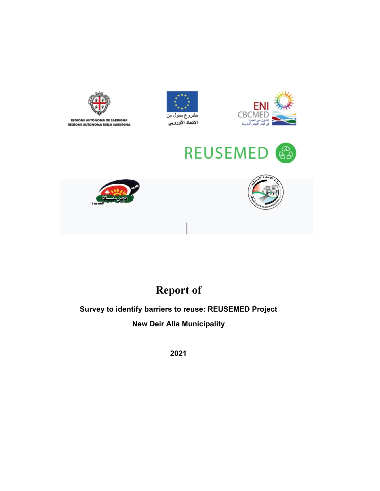

## **Report of**

## **Survey to identify barriers to reuse: REUSEMED Project New Deir Alla Municipality**

**2021**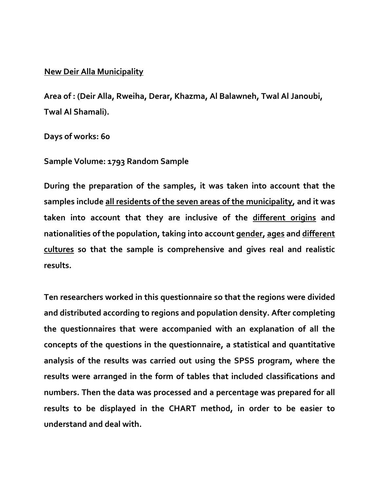## **New Deir Alla Municipality**

**Area of : (Deir Alla, Rweiha, Derar, Khazma, Al Balawneh, Twal Al Janoubi, Twal Al Shamali).**

**Days of works: 60**

**Sample Volume: 1793 Random Sample**

**During the preparation of the samples, it was taken into account that the samples include all residents of the seven areas of the municipality, and it was taken into account that they are inclusive of the different origins and nationalities of the population, taking into account gender, ages and different cultures so that the sample is comprehensive and gives real and realistic results.**

**Ten researchers worked in this questionnaire so that the regions were divided and distributed according to regions and population density. After completing the questionnaires that were accompanied with an explanation of all the concepts of the questions in the questionnaire, a statistical and quantitative analysis of the results was carried out using the SPSS program, where the results were arranged in the form of tables that included classifications and numbers. Then the data was processed and a percentage was prepared for all results to be displayed in the CHART method, in order to be easier to understand and deal with.**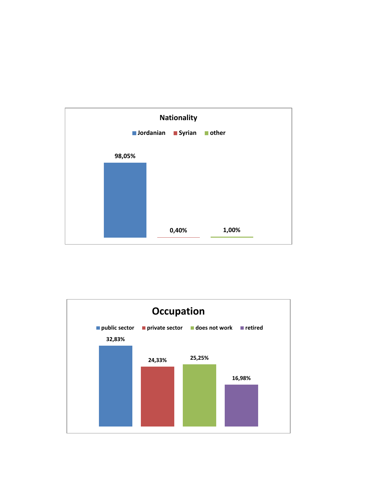

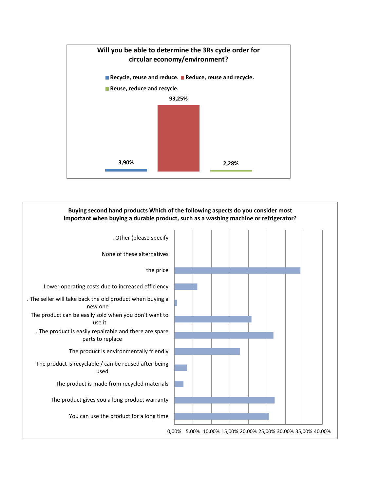

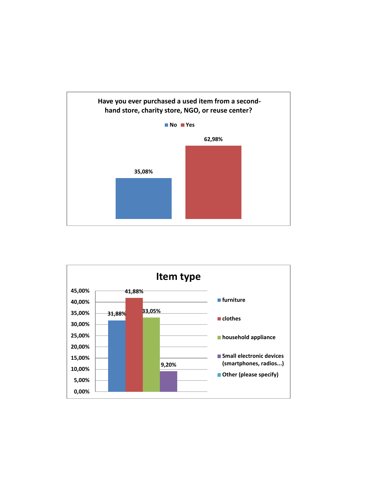

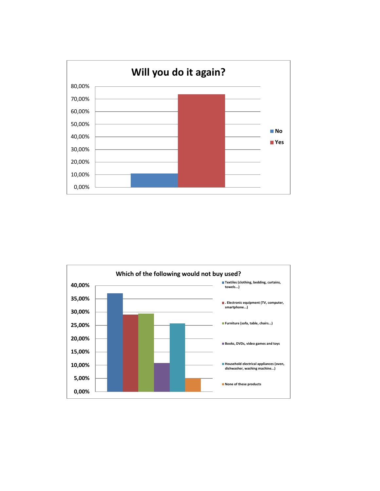

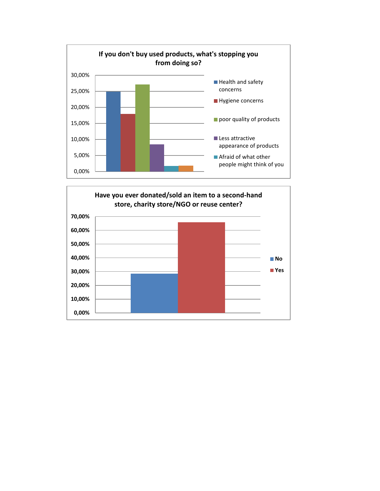

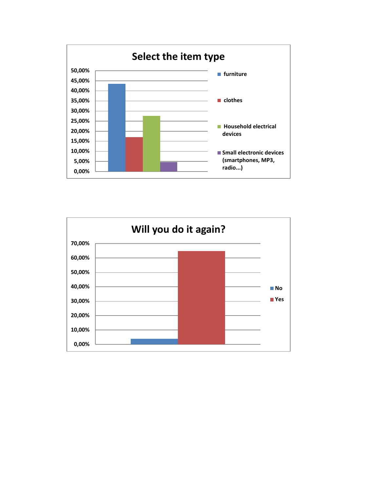

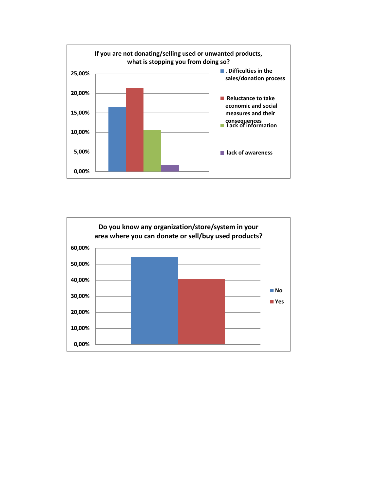

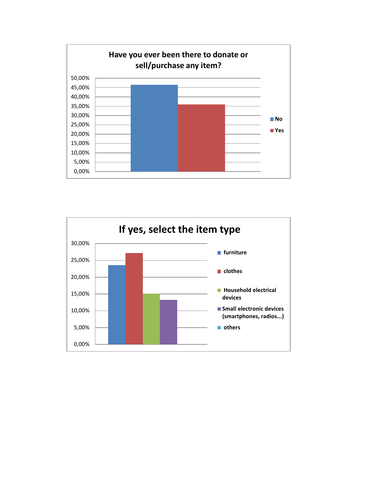

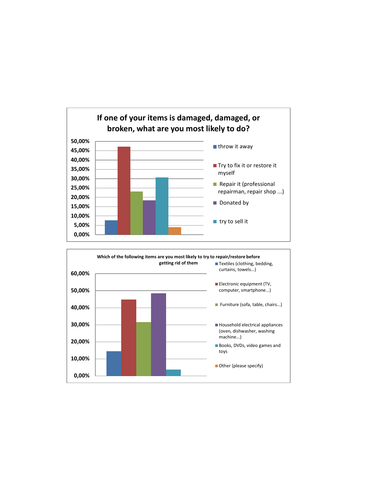

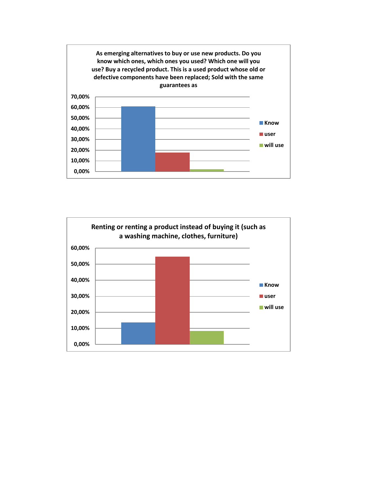

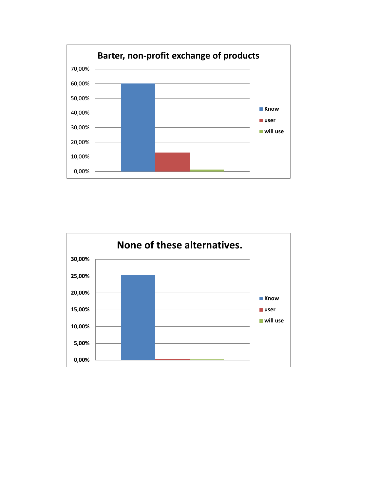

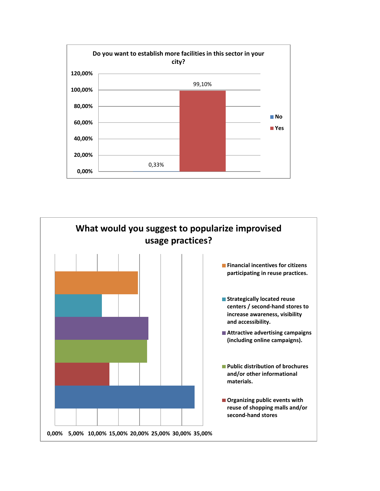

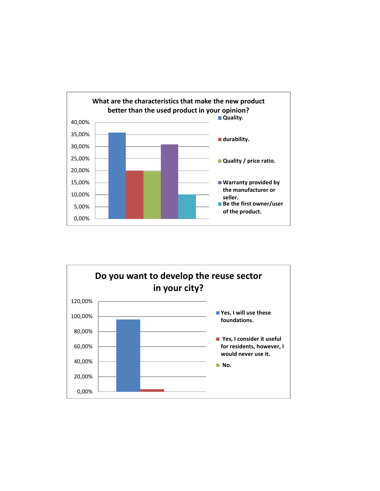

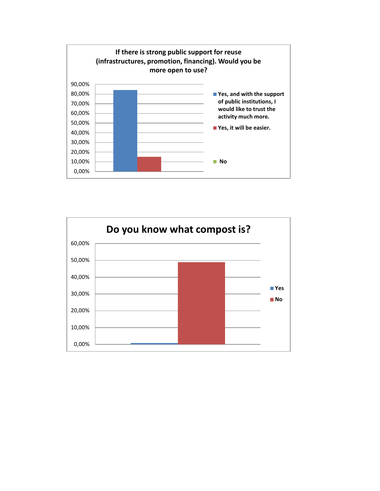

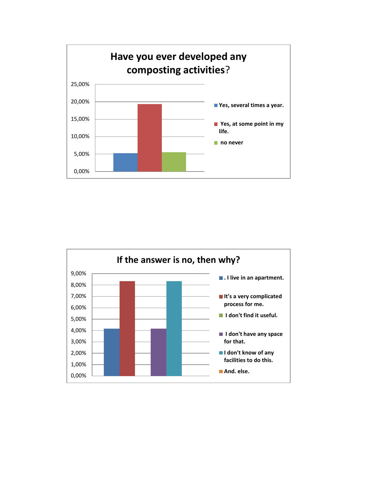

![](_page_16_Figure_1.jpeg)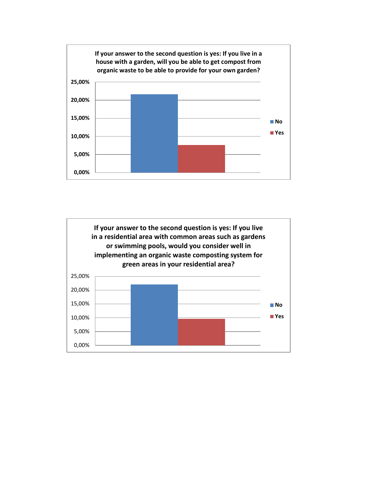![](_page_17_Figure_0.jpeg)

![](_page_17_Figure_1.jpeg)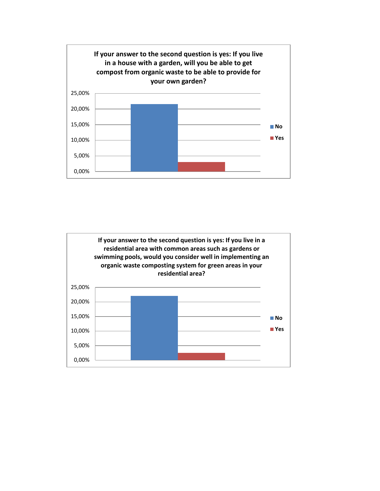![](_page_18_Figure_0.jpeg)

![](_page_18_Figure_1.jpeg)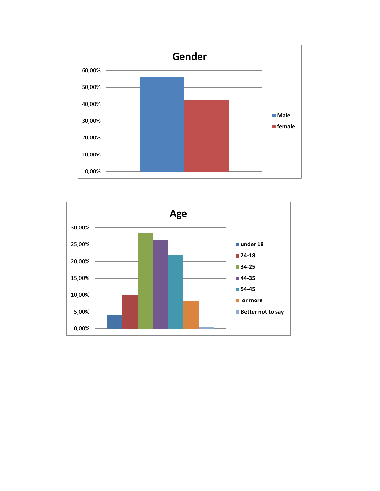![](_page_19_Figure_0.jpeg)

![](_page_19_Figure_1.jpeg)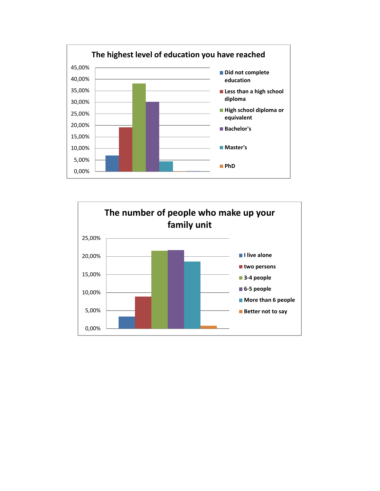![](_page_20_Figure_0.jpeg)

![](_page_20_Figure_1.jpeg)